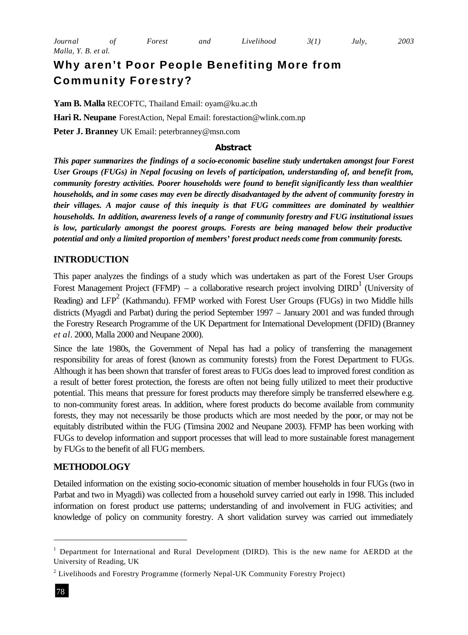# **Why aren't Poor People Benefiting More from Community Forestry?**

**Yam B. Malla** RECOFTC, Thailand Email: oyam@ku.ac.th **Hari R. Neupane** ForestAction, Nepal Email: forestaction@wlink.com.np **Peter J. Branney** UK Email: peterbranney@msn.com

#### **Abstract**

*This paper summarizes the findings of a socio-economic baseline study undertaken amongst four Forest User Groups (FUGs) in Nepal focusing on levels of participation, understanding of, and benefit from, community forestry activities. Poorer households were found to benefit significantly less than wealthier households, and in some cases may even be directly disadvantaged by the advent of community forestry in their villages. A major cause of this inequity is that FUG committees are dominated by wealthier households. In addition, awareness levels of a range of community forestry and FUG institutional issues*  is low, particularly amongst the poorest groups. Forests are being managed below their productive *potential and only a limited proportion of members' forest product needs come from community forests.*

# **INTRODUCTION**

This paper analyzes the findings of a study which was undertaken as part of the Forest User Groups Forest Management Project (FFMP) – a collaborative research project involving  $DIRD^1$  (University of Reading) and LFP<sup>2</sup> (Kathmandu). FFMP worked with Forest User Groups (FUGs) in two Middle hills districts (Myagdi and Parbat) during the period September 1997 – January 2001 and was funded through the Forestry Research Programme of the UK Department for International Development (DFID) (Branney *et al.* 2000, Malla 2000 and Neupane 2000).

Since the late 1980s, the Government of Nepal has had a policy of transferring the management responsibility for areas of forest (known as community forests) from the Forest Department to FUGs. Although it has been shown that transfer of forest areas to FUGs does lead to improved forest condition as a result of better forest protection, the forests are often not being fully utilized to meet their productive potential. This means that pressure for forest products may therefore simply be transferred elsewhere e.g. to non-community forest areas. In addition, where forest products do become available from community forests, they may not necessarily be those products which are most needed by the poor, or may not be equitably distributed within the FUG (Timsina 2002 and Neupane 2003). FFMP has been working with FUGs to develop information and support processes that will lead to more sustainable forest management by FUGs to the benefit of all FUG members.

## **METHODOLOGY**

Detailed information on the existing socio-economic situation of member households in four FUGs (two in Parbat and two in Myagdi) was collected from a household survey carried out early in 1998. This included information on forest product use patterns; understanding of and involvement in FUG activities; and knowledge of policy on community forestry. A short validation survey was carried out immediately

l

<sup>1</sup> Department for International and Rural Development (DIRD). This is the new name for AERDD at the University of Reading, UK

 $2$  Livelihoods and Forestry Programme (formerly Nepal-UK Community Forestry Project)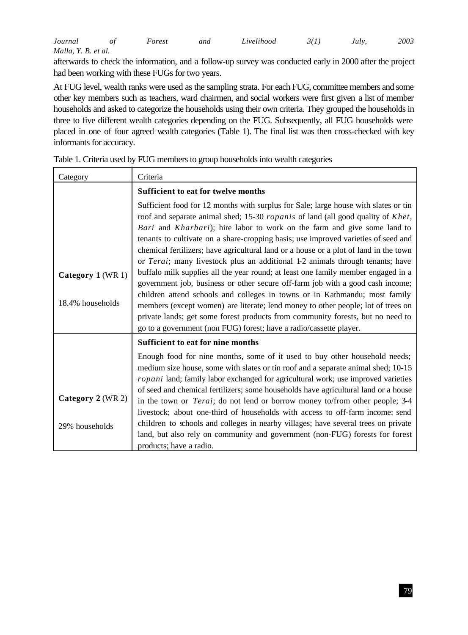| Journal             | Forest | and | Livelihood | 3(1) | July. | 2003 |
|---------------------|--------|-----|------------|------|-------|------|
| Malla, Y. B. et al. |        |     |            |      |       |      |

afterwards to check the information, and a follow-up survey was conducted early in 2000 after the project had been working with these FUGs for two years.

At FUG level, wealth ranks were used as the sampling strata. For each FUG, committee members and some other key members such as teachers, ward chairmen, and social workers were first given a list of member households and asked to categorize the households using their own criteria. They grouped the households in three to five different wealth categories depending on the FUG. Subsequently, all FUG households were placed in one of four agreed wealth categories (Table 1). The final list was then cross-checked with key informants for accuracy.

| Category          | Criteria                                                                                                                                                                                                                                                                                                                                                                                                                                                                                                                   |
|-------------------|----------------------------------------------------------------------------------------------------------------------------------------------------------------------------------------------------------------------------------------------------------------------------------------------------------------------------------------------------------------------------------------------------------------------------------------------------------------------------------------------------------------------------|
|                   | Sufficient to eat for twelve months                                                                                                                                                                                                                                                                                                                                                                                                                                                                                        |
|                   | Sufficient food for 12 months with surplus for Sale; large house with slates or tin<br>roof and separate animal shed; 15-30 ropanis of land (all good quality of Khet,<br>Bari and Kharbari); hire labor to work on the farm and give some land to<br>tenants to cultivate on a share-cropping basis; use improved varieties of seed and<br>chemical fertilizers; have agricultural land or a house or a plot of land in the town<br>or <i>Terai</i> ; many livestock plus an additional 1-2 animals through tenants; have |
| Category 1 (WR 1) | buffalo milk supplies all the year round; at least one family member engaged in a<br>government job, business or other secure off-farm job with a good cash income;                                                                                                                                                                                                                                                                                                                                                        |
| 18.4% households  | children attend schools and colleges in towns or in Kathmandu; most family<br>members (except women) are literate; lend money to other people; lot of trees on<br>private lands; get some forest products from community forests, but no need to<br>go to a government (non FUG) forest; have a radio/cassette player.                                                                                                                                                                                                     |
|                   | Sufficient to eat for nine months                                                                                                                                                                                                                                                                                                                                                                                                                                                                                          |
|                   | Enough food for nine months, some of it used to buy other household needs;<br>medium size house, some with slates or tin roof and a separate animal shed; 10-15<br><i>ropani</i> land; family labor exchanged for agricultural work; use improved varieties                                                                                                                                                                                                                                                                |
| Category 2 (WR 2) | of seed and chemical fertilizers; some households have agricultural land or a house<br>in the town or <i>Terai</i> ; do not lend or borrow money to/from other people; 3-4                                                                                                                                                                                                                                                                                                                                                 |
| 29% households    | livestock; about one-third of households with access to off-farm income; send<br>children to schools and colleges in nearby villages; have several trees on private<br>land, but also rely on community and government (non-FUG) forests for forest<br>products; have a radio.                                                                                                                                                                                                                                             |

Table 1. Criteria used by FUG members to group households into wealth categories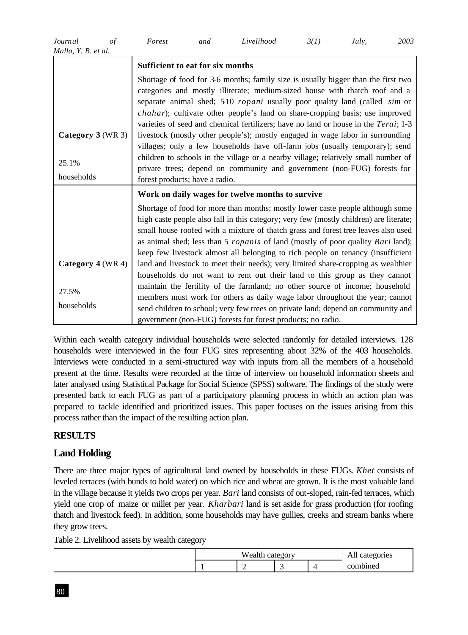| Journal             | Forest | and | Livelihood | 3(1) | Julv. | 2003 |
|---------------------|--------|-----|------------|------|-------|------|
| Malla, Y. B. et al. |        |     |            |      |       |      |

|                     | Sufficient to eat for six months                                                                                                                                                                                                                                                                                                                                                                                                                                                                                                                                                                             |
|---------------------|--------------------------------------------------------------------------------------------------------------------------------------------------------------------------------------------------------------------------------------------------------------------------------------------------------------------------------------------------------------------------------------------------------------------------------------------------------------------------------------------------------------------------------------------------------------------------------------------------------------|
| Category 3 (WR 3)   | Shortage of food for 3-6 months; family size is usually bigger than the first two<br>categories and mostly illiterate; medium-sized house with thatch roof and a<br>separate animal shed; 510 <i>ropani</i> usually poor quality land (called <i>sim</i> or<br>chahar); cultivate other people's land on share-cropping basis; use improved<br>varieties of seed and chemical fertilizers; have no land or house in the <i>Terai</i> ; 1-3<br>livestock (mostly other people's); mostly engaged in wage labor in surrounding<br>villages; only a few households have off-farm jobs (usually temporary); send |
| 25.1%               | children to schools in the village or a nearby village; relatively small number of<br>private trees; depend on community and government (non-FUG) forests for                                                                                                                                                                                                                                                                                                                                                                                                                                                |
| households          | forest products; have a radio.                                                                                                                                                                                                                                                                                                                                                                                                                                                                                                                                                                               |
|                     | Work on daily wages for twelve months to survive                                                                                                                                                                                                                                                                                                                                                                                                                                                                                                                                                             |
|                     | Shortage of food for more than months; mostly lower caste people although some<br>high caste people also fall in this category; very few (mostly children) are literate;<br>small house roofed with a mixture of thatch grass and forest tree leaves also used<br>as animal shed; less than 5 <i>ropanis</i> of land (mostly of poor quality <i>Bari</i> land);<br>keep few livestock almost all belonging to rich people on tenancy (insufficient                                                                                                                                                           |
| Category $4$ (WR 4) | land and livestock to meet their needs); very limited share-cropping as wealthier                                                                                                                                                                                                                                                                                                                                                                                                                                                                                                                            |
| 27.5%<br>households | households do not want to rent out their land to this group as they cannot<br>maintain the fertility of the farmland; no other source of income; household<br>members must work for others as daily wage labor throughout the year; cannot<br>send children to school; very few trees on private land; depend on community and<br>government (non-FUG) forests for forest products; no radio.                                                                                                                                                                                                                |

Within each wealth category individual households were selected randomly for detailed interviews. 128 households were interviewed in the four FUG sites representing about 32% of the 403 households. Interviews were conducted in a semi-structured way with inputs from all the members of a household present at the time. Results were recorded at the time of interview on household information sheets and later analysed using Statistical Package for Social Science (SPSS) software. The findings of the study were presented back to each FUG as part of a participatory planning process in which an action plan was prepared to tackle identified and prioritized issues. This paper focuses on the issues arising from this process rather than the impact of the resulting action plan.

# **RESULTS**

# **Land Holding**

There are three major types of agricultural land owned by households in these FUGs. *Khet* consists of leveled terraces (with bunds to hold water) on which rice and wheat are grown. It is the most valuable land in the village because it yields two crops per year. *Bari* land consists of out-sloped, rain-fed terraces, which yield one crop of maize or millet per year. *Kharbari* land is set aside for grass production (for roofing thatch and livestock feed). In addition, some households may have gullies, creeks and stream banks where they grow trees.

Table 2. Livelihood assets by wealth category

| Wealth<br>tegory<br>no.<br>. . |   |  |   | egories<br>All cates |
|--------------------------------|---|--|---|----------------------|
|                                | - |  | 4 | combined             |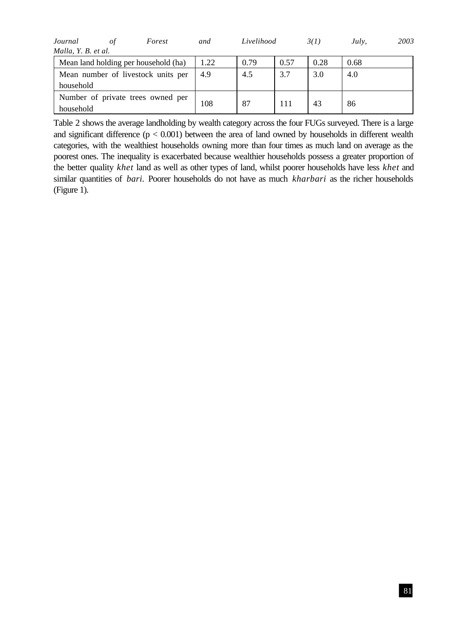| Journal             | οt | Forest                               | and  | Livelihood |      | 3(1) | July, | 2003 |
|---------------------|----|--------------------------------------|------|------------|------|------|-------|------|
| Malla, Y. B. et al. |    |                                      |      |            |      |      |       |      |
|                     |    | Mean land holding per household (ha) | 1.22 | 0.79       | 0.57 | 0.28 | 0.68  |      |
|                     |    | Mean number of livestock units per   | 4.9  | 4.5        | 3.7  | 3.0  | 4.0   |      |
| household           |    |                                      |      |            |      |      |       |      |
|                     |    | Number of private trees owned per    |      |            |      |      |       |      |
| household           |    |                                      | 108  | 87         | 111  | 43   | 86    |      |

Table 2 shows the average landholding by wealth category across the four FUGs surveyed. There is a large and significant difference  $(p < 0.001)$  between the area of land owned by households in different wealth categories, with the wealthiest households owning more than four times as much land on average as the poorest ones. The inequality is exacerbated because wealthier households possess a greater proportion of the better quality *khet* land as well as other types of land, whilst poorer households have less *khet* and similar quantities of *bari.* Poorer households do not have as much *kharbari* as the richer households (Figure 1).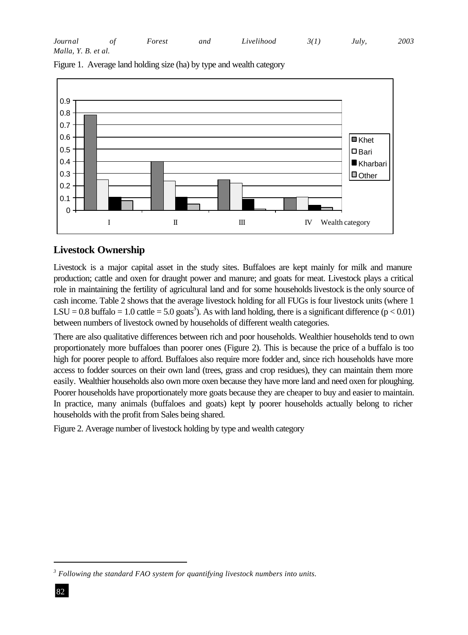| Journal             | Forest | and | Livelihood | 3(1) | July. | 2003 |
|---------------------|--------|-----|------------|------|-------|------|
| Malla, Y. B. et al. |        |     |            |      |       |      |

 $\Omega$ 0.1 0.2 0.3 0.4 0.5 0.6 0.7 0.8 0.9 I II II IV Wealth category ■Khet **□** Bari **Kharbari** Other

Figure 1. Average land holding size (ha) by type and wealth category

# **Livestock Ownership**

Livestock is a major capital asset in the study sites. Buffaloes are kept mainly for milk and manure production; cattle and oxen for draught power and manure; and goats for meat. Livestock plays a critical role in maintaining the fertility of agricultural land and for some households livestock is the only source of cash income. Table 2 shows that the average livestock holding for all FUGs is four livestock units (where 1 LSU = 0.8 buffalo = 1.0 cattle = 5.0 goats<sup>3</sup>). As with land holding, there is a significant difference ( $p < 0.01$ ) between numbers of livestock owned by households of different wealth categories.

There are also qualitative differences between rich and poor households. Wealthier households tend to own proportionately more buffaloes than poorer ones (Figure 2). This is because the price of a buffalo is too high for poorer people to afford. Buffaloes also require more fodder and, since rich households have more access to fodder sources on their own land (trees, grass and crop residues), they can maintain them more easily. Wealthier households also own more oxen because they have more land and need oxen for ploughing. Poorer households have proportionately more goats because they are cheaper to buy and easier to maintain. In practice, many animals (buffaloes and goats) kept by poorer households actually belong to richer households with the profit from Sales being shared.

Figure 2. Average number of livestock holding by type and wealth category

l

*<sup>3</sup> Following the standard FAO system for quantifying livestock numbers into units.*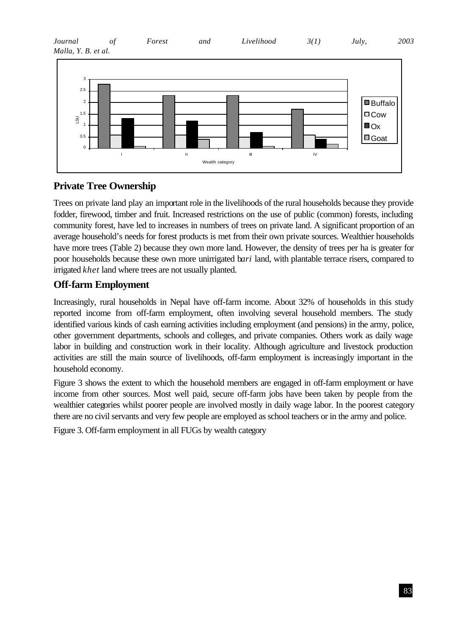| Journal             | Forest | and | Livelihood | 3(1) | July. | 2003 |
|---------------------|--------|-----|------------|------|-------|------|
| Malla, Y. B. et al. |        |     |            |      |       |      |



# **Private Tree Ownership**

Trees on private land play an important role in the livelihoods of the rural households because they provide fodder, firewood, timber and fruit. Increased restrictions on the use of public (common) forests, including community forest, have led to increases in numbers of trees on private land. A significant proportion of an average household's needs for forest products is met from their own private sources. Wealthier households have more trees (Table 2) because they own more land. However, the density of trees per ha is greater for poor households because these own more unirrigated b*ari* land, with plantable terrace risers, compared to irrigated *khet* land where trees are not usually planted.

# **Off-farm Employment**

Increasingly, rural households in Nepal have off-farm income. About 32% of households in this study reported income from off-farm employment, often involving several household members. The study identified various kinds of cash earning activities including employment (and pensions) in the army, police, other government departments, schools and colleges, and private companies. Others work as daily wage labor in building and construction work in their locality. Although agriculture and livestock production activities are still the main source of livelihoods, off-farm employment is increasingly important in the household economy.

Figure 3 shows the extent to which the household members are engaged in off-farm employment or have income from other sources. Most well paid, secure off-farm jobs have been taken by people from the wealthier categories whilst poorer people are involved mostly in daily wage labor. In the poorest category there are no civil servants and very few people are employed as school teachers or in the army and police.

Figure 3. Off-farm employment in all FUGs by wealth category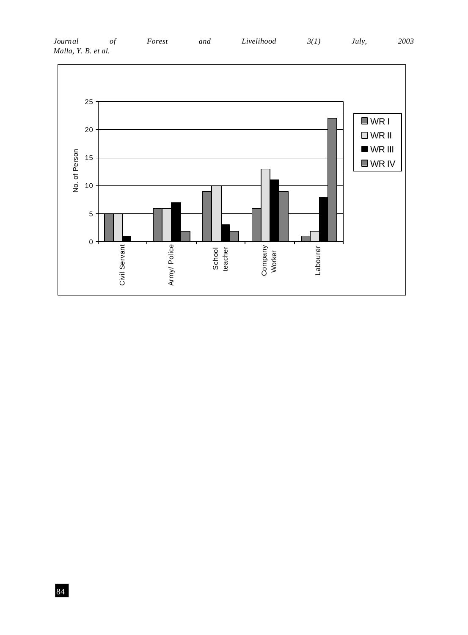

### *Journal of Forest and Livelihood 3(1) July, 2003 Malla, Y. B. et al.*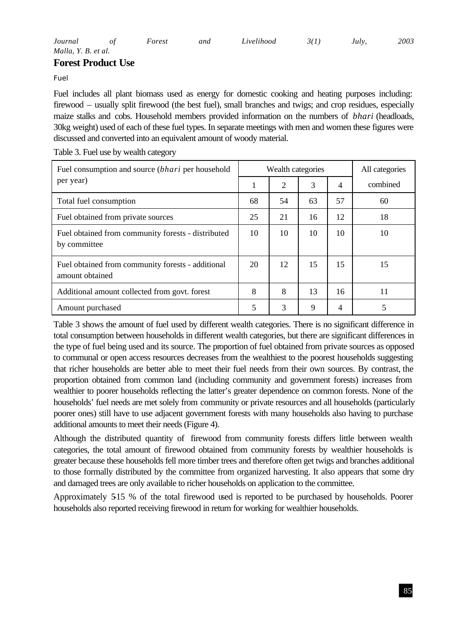# **Forest Product Use**

*Fuel*

Fuel includes all plant biomass used as energy for domestic cooking and heating purposes including: firewood – usually split firewood (the best fuel), small branches and twigs; and crop residues, especially maize stalks and cobs. Household members provided information on the numbers of *bhari* (headloads, 30kg weight) used of each of these fuel types. In separate meetings with men and women these figures were discussed and converted into an equivalent amount of woody material.

| Fuel consumption and source <i>(bhari</i> per household              |    | Wealth categories |    | All categories |          |
|----------------------------------------------------------------------|----|-------------------|----|----------------|----------|
| per year)                                                            | 1  | 2                 | 3  | 4              | combined |
| Total fuel consumption                                               | 68 | 54                | 63 | 57             | 60       |
| Fuel obtained from private sources                                   | 25 | 21                | 16 | 12             | 18       |
| Fuel obtained from community forests - distributed<br>by committee   | 10 | 10                | 10 | 10             | 10       |
| Fuel obtained from community forests - additional<br>amount obtained | 20 | 12                | 15 | 15             | 15       |
| Additional amount collected from govt. forest                        | 8  | 8                 | 13 | 16             | 11       |
| Amount purchased                                                     | 5  | 3                 | 9  | 4              | 5        |

Table 3. Fuel use by wealth category

Table 3 shows the amount of fuel used by different wealth categories. There is no significant difference in total consumption between households in different wealth categories, but there are significant differences in the type of fuel being used and its source. The proportion of fuel obtained from private sources as opposed to communal or open access resources decreases from the wealthiest to the poorest households suggesting that richer households are better able to meet their fuel needs from their own sources. By contrast, the proportion obtained from common land (including community and government forests) increases from wealthier to poorer households reflecting the latter's greater dependence on common forests. None of the households' fuel needs are met solely from community or private resources and all households (particularly poorer ones) still have to use adjacent government forests with many households also having to purchase additional amounts to meet their needs (Figure 4).

Although the distributed quantity of firewood from community forests differs little between wealth categories, the total amount of firewood obtained from community forests by wealthier households is greater because these households fell more timber trees and therefore often get twigs and branches additional to those formally distributed by the committee from organized harvesting. It also appears that some dry and damaged trees are only available to richer households on application to the committee.

Approximately 515 % of the total firewood used is reported to be purchased by households. Poorer households also reported receiving firewood in return for working for wealthier households.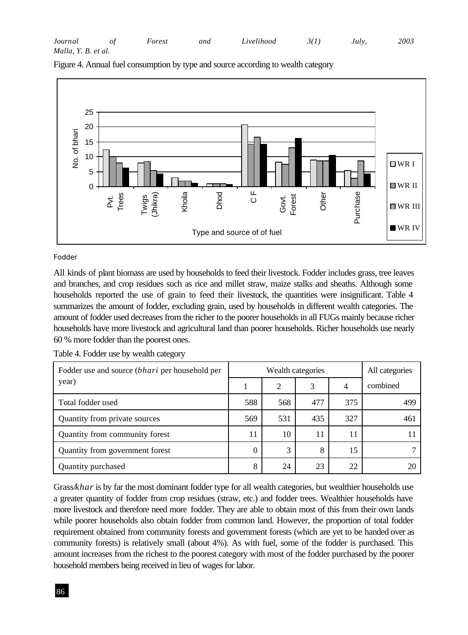| Journal             | Forest | and | Livelihood | 3(1) | Julv. | 2003 |
|---------------------|--------|-----|------------|------|-------|------|
| Malla, Y. B. et al. |        |     |            |      |       |      |



Figure 4. Annual fuel consumption by type and source according to wealth category

#### *Fodder*

All kinds of plant biomass are used by households to feed their livestock. Fodder includes grass, tree leaves and branches, and crop residues such as rice and millet straw, maize stalks and sheaths. Although some households reported the use of grain to feed their livestock, the quantities were insignificant. Table 4 summarizes the amount of fodder, excluding grain, used by households in different wealth categories. The amount of fodder used decreases from the richer to the poorer households in all FUGs mainly because richer households have more livestock and agricultural land than poorer households. Richer households use nearly 60 % more fodder than the poorest ones.

| Fodder use and source <i>(bhari</i> per household per |     | All categories |     |     |          |
|-------------------------------------------------------|-----|----------------|-----|-----|----------|
| year)                                                 |     | 2              | 3   | 4   | combined |
| Total fodder used                                     | 588 | 568            | 477 | 375 | 499      |
| Quantity from private sources                         | 569 | 531            | 435 | 327 | 461      |
| Quantity from community forest                        | 11  | 10             | 11  |     |          |
| Quantity from government forest                       | 0   | 3              | 8   | 15  |          |
| Quantity purchased                                    | 8   | 24             | 23  | 22  |          |

Table 4. Fodder use by wealth category

Grass/*khar* is by far the most dominant fodder type for all wealth categories, but wealthier households use a greater quantity of fodder from crop residues (straw, etc.) and fodder trees. Wealthier households have more livestock and therefore need more fodder. They are able to obtain most of this from their own lands while poorer households also obtain fodder from common land. However, the proportion of total fodder requirement obtained from community forests and government forests (which are yet to be handed over as community forests) is relatively small (about 4%). As with fuel, some of the fodder is purchased. This amount increases from the richest to the poorest category with most of the fodder purchased by the poorer household members being received in lieu of wages for labor.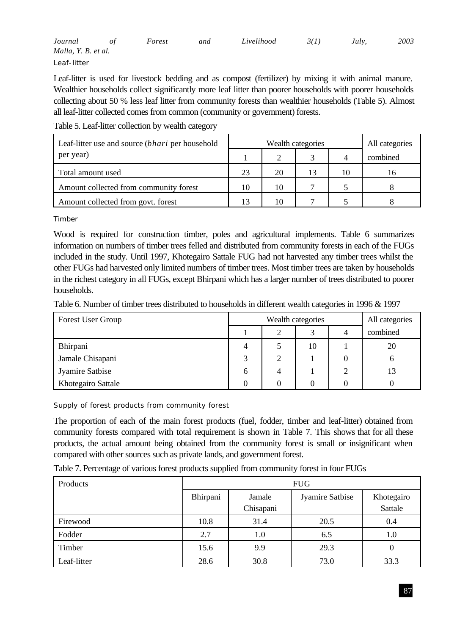| Journal             | Forest | and | Livelihood | 3(1) | Julv. | 2003 |
|---------------------|--------|-----|------------|------|-------|------|
| Malla, Y. B. et al. |        |     |            |      |       |      |
| Leaf-litter         |        |     |            |      |       |      |

Leaf-litter is used for livestock bedding and as compost (fertilizer) by mixing it with animal manure. Wealthier households collect significantly more leaf litter than poorer households with poorer households collecting about 50 % less leaf litter from community forests than wealthier households (Table 5). Almost all leaf-litter collected comes from common (community or government) forests.

Table 5. Leaf-litter collection by wealth category

| Leaf-litter use and source ( <i>bhari</i> per household |    | Wealth categories | All categories |          |
|---------------------------------------------------------|----|-------------------|----------------|----------|
| per year)                                               |    |                   |                | combined |
| Total amount used                                       | 23 | 20                | 10             | 16       |
| Amount collected from community forest                  | 10 | 10                |                |          |
| Amount collected from govt. forest                      |    | 10                |                |          |

*Timber*

Wood is required for construction timber, poles and agricultural implements. Table 6 summarizes information on numbers of timber trees felled and distributed from community forests in each of the FUGs included in the study. Until 1997, Khotegairo Sattale FUG had not harvested any timber trees whilst the other FUGs had harvested only limited numbers of timber trees. Most timber trees are taken by households in the richest category in all FUGs, except Bhirpani which has a larger number of trees distributed to poorer households.

Table 6. Number of timber trees distributed to households in different wealth categories in 1996 & 1997

| Forest User Group  |   | Wealth categories | All categories |   |          |
|--------------------|---|-------------------|----------------|---|----------|
|                    |   |                   | 2              | 4 | combined |
| Bhirpani           |   |                   | 10             |   | 20       |
| Jamale Chisapani   |   | 2                 |                |   |          |
| Jyamire Satbise    | 6 | 4                 |                |   | 13       |
| Khotegairo Sattale |   |                   |                | 0 |          |

*Supply of forest products from community forest*

The proportion of each of the main forest products (fuel, fodder, timber and leaf-litter) obtained from community forests compared with total requirement is shown in Table 7. This shows that for all these products, the actual amount being obtained from the community forest is small or insignificant when compared with other sources such as private lands, and government forest.

Table 7. Percentage of various forest products supplied from community forest in four FUGs

| Products    | <b>FUG</b> |                     |                 |                       |  |  |  |  |
|-------------|------------|---------------------|-----------------|-----------------------|--|--|--|--|
|             | Bhirpani   | Jamale<br>Chisapani | Jyamire Satbise | Khotegairo<br>Sattale |  |  |  |  |
| Firewood    | 10.8       | 31.4                | 20.5            | 0.4                   |  |  |  |  |
| Fodder      | 2.7        | 1.0                 | 6.5             | 1.0                   |  |  |  |  |
| Timber      | 15.6       | 9.9                 | 29.3            | $\theta$              |  |  |  |  |
| Leaf-litter | 28.6       | 30.8                | 73.0            | 33.3                  |  |  |  |  |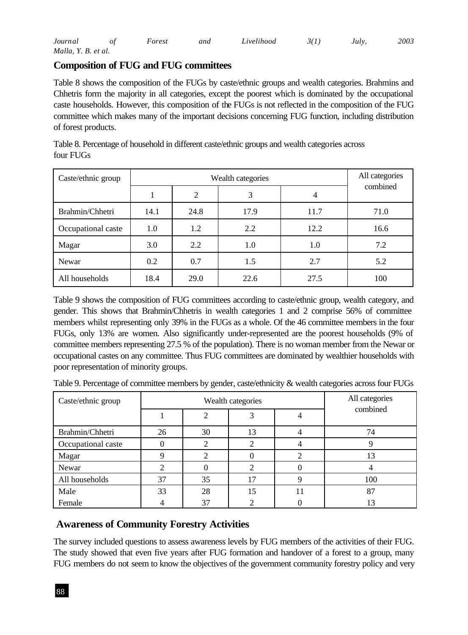| Journal             | Forest | and | Livelihood | 3(1) | Julv. | 2003 |
|---------------------|--------|-----|------------|------|-------|------|
| Malla, Y. B. et al. |        |     |            |      |       |      |

# **Composition of FUG and FUG committees**

Table 8 shows the composition of the FUGs by caste/ethnic groups and wealth categories. Brahmins and Chhetris form the majority in all categories, except the poorest which is dominated by the occupational caste households. However, this composition of the FUGs is not reflected in the composition of the FUG committee which makes many of the important decisions concerning FUG function, including distribution of forest products.

| Caste/ethnic group |      | Wealth categories |      |      |          |  |  |  |
|--------------------|------|-------------------|------|------|----------|--|--|--|
|                    |      | 2                 | 3    | 4    | combined |  |  |  |
| Brahmin/Chhetri    | 14.1 | 24.8              | 17.9 | 11.7 | 71.0     |  |  |  |
| Occupational caste | 1.0  | 1.2               | 2.2  | 12.2 | 16.6     |  |  |  |
| Magar              | 3.0  | 2.2               | 1.0  | 1.0  | 7.2      |  |  |  |
| Newar              | 0.2  | 0.7               | 1.5  | 2.7  | 5.2      |  |  |  |
| All households     | 18.4 | 29.0              | 22.6 | 27.5 | 100      |  |  |  |

Table 8. Percentage of household in different caste/ethnic groups and wealth categories across four FUGs

Table 9 shows the composition of FUG committees according to caste/ethnic group, wealth category, and gender. This shows that Brahmin/Chhetris in wealth categories 1 and 2 comprise 56% of committee members whilst representing only 39% in the FUGs as a whole. Of the 46 committee members in the four FUGs, only 13% are women. Also significantly under-represented are the poorest households (9% of committee members representing 27.5 % of the population). There is no woman member from the Newar or occupational castes on any committee. Thus FUG committees are dominated by wealthier households with poor representation of minority groups.

| Caste/ethnic group |    | Wealth categories | All categories |  |          |
|--------------------|----|-------------------|----------------|--|----------|
|                    |    |                   |                |  | combined |
| Brahmin/Chhetri    | 26 | 30                | 13             |  | 74       |
| Occupational caste |    |                   |                |  |          |
| Magar              |    |                   |                |  | 13       |
| Newar              |    |                   |                |  |          |
| All households     | 37 | 35                |                |  | 100      |
| Male               | 33 | 28                | 15             |  | 87       |
| Female             |    | 37                |                |  | 13       |

Table 9. Percentage of committee members by gender, caste/ethnicity & wealth categories across four FUGs

# **Awareness of Community Forestry Activities**

The survey included questions to assess awareness levels by FUG members of the activities of their FUG. The study showed that even five years after FUG formation and handover of a forest to a group, many FUG members do not seem to know the objectives of the government community forestry policy and very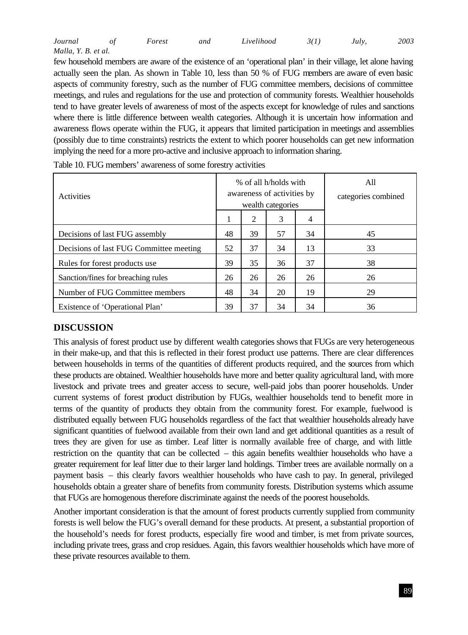| Journal             | Forest | and | Livelihood | 3(1) | July. | 2003 |
|---------------------|--------|-----|------------|------|-------|------|
| Malla, Y. B. et al. |        |     |            |      |       |      |

few household members are aware of the existence of an 'operational plan' in their village, let alone having actually seen the plan. As shown in Table 10, less than 50 % of FUG members are aware of even basic aspects of community forestry, such as the number of FUG committee members, decisions of committee meetings, and rules and regulations for the use and protection of community forests. Wealthier households tend to have greater levels of awareness of most of the aspects except for knowledge of rules and sanctions where there is little difference between wealth categories. Although it is uncertain how information and awareness flows operate within the FUG, it appears that limited participation in meetings and assemblies (possibly due to time constraints) restricts the extent to which poorer households can get new information implying the need for a more pro-active and inclusive approach to information sharing.

| <b>Activities</b>                       |              |    | % of all h/holds with<br>awareness of activities by<br>wealth categories | All<br>categories combined |    |
|-----------------------------------------|--------------|----|--------------------------------------------------------------------------|----------------------------|----|
|                                         | $\mathbf{I}$ | 2  | 3                                                                        | 4                          |    |
| Decisions of last FUG assembly          | 48           | 39 | 57                                                                       | 34                         | 45 |
| Decisions of last FUG Committee meeting | 52           | 37 | 34                                                                       | 13                         | 33 |
| Rules for forest products use           | 39           | 35 | 36                                                                       | 37                         | 38 |
| Sanction/fines for breaching rules      | 26           | 26 | 26                                                                       | 26                         | 26 |
| Number of FUG Committee members         | 48           | 34 | 20                                                                       | 19                         | 29 |
| Existence of 'Operational Plan'         | 39           | 37 | 34                                                                       | 34                         | 36 |

| Table 10. FUG members' awareness of some forestry activities |  |  |
|--------------------------------------------------------------|--|--|
|--------------------------------------------------------------|--|--|

# **DISCUSSION**

This analysis of forest product use by different wealth categories shows that FUGs are very heterogeneous in their make-up, and that this is reflected in their forest product use patterns. There are clear differences between households in terms of the quantities of different products required, and the sources from which these products are obtained. Wealthier households have more and better quality agricultural land, with more livestock and private trees and greater access to secure, well-paid jobs than poorer households. Under current systems of forest product distribution by FUGs, wealthier households tend to benefit more in terms of the quantity of products they obtain from the community forest. For example, fuelwood is distributed equally between FUG households regardless of the fact that wealthier households already have significant quantities of fuelwood available from their own land and get additional quantities as a result of trees they are given for use as timber. Leaf litter is normally available free of charge, and with little restriction on the quantity that can be collected – this again benefits wealthier households who have a greater requirement for leaf litter due to their larger land holdings. Timber trees are available normally on a payment basis – this clearly favors wealthier households who have cash to pay. In general, privileged households obtain a greater share of benefits from community forests. Distribution systems which assume that FUGs are homogenous therefore discriminate against the needs of the poorest households.

Another important consideration is that the amount of forest products currently supplied from community forests is well below the FUG's overall demand for these products. At present, a substantial proportion of the household's needs for forest products, especially fire wood and timber, is met from private sources, including private trees, grass and crop residues. Again, this favors wealthier households which have more of these private resources available to them.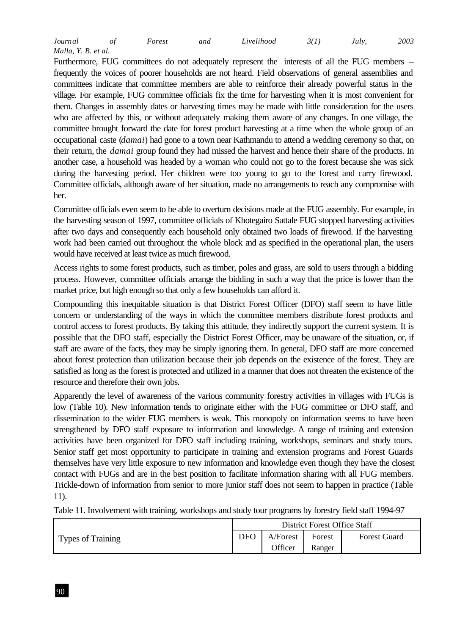| Journal             | Forest | and | Livelihood | 3(1) | Julv. | 2003 |
|---------------------|--------|-----|------------|------|-------|------|
| Malla, Y. B. et al. |        |     |            |      |       |      |

Furthermore, FUG committees do not adequately represent the interests of all the FUG members – frequently the voices of poorer households are not heard. Field observations of general assemblies and committees indicate that committee members are able to reinforce their already powerful status in the village. For example, FUG committee officials fix the time for harvesting when it is most convenient for them. Changes in assembly dates or harvesting times may be made with little consideration for the users who are affected by this, or without adequately making them aware of any changes. In one village, the committee brought forward the date for forest product harvesting at a time when the whole group of an occupational caste (*damai*) had gone to a town near Kathmandu to attend a wedding ceremony so that, on their return, the *damai* group found they had missed the harvest and hence their share of the products. In another case, a household was headed by a woman who could not go to the forest because she was sick during the harvesting period. Her children were too young to go to the forest and carry firewood. Committee officials, although aware of her situation, made no arrangements to reach any compromise with her.

Committee officials even seem to be able to overturn decisions made at the FUG assembly. For example, in the harvesting season of 1997, committee officials of Khotegairo Sattale FUG stopped harvesting activities after two days and consequently each household only obtained two loads of firewood. If the harvesting work had been carried out throughout the whole block and as specified in the operational plan, the users would have received at least twice as much firewood.

Access rights to some forest products, such as timber, poles and grass, are sold to users through a bidding process. However, committee officials arrange the bidding in such a way that the price is lower than the market price, but high enough so that only a few households can afford it.

Compounding this inequitable situation is that District Forest Officer (DFO) staff seem to have little concern or understanding of the ways in which the committee members distribute forest products and control access to forest products. By taking this attitude, they indirectly support the current system. It is possible that the DFO staff, especially the District Forest Officer, may be unaware of the situation, or, if staff are aware of the facts, they may be simply ignoring them. In general, DFO staff are more concerned about forest protection than utilization because their job depends on the existence of the forest. They are satisfied as long as the forest is protected and utilized in a manner that does not threaten the existence of the resource and therefore their own jobs.

Apparently the level of awareness of the various community forestry activities in villages with FUGs is low (Table 10). New information tends to originate either with the FUG committee or DFO staff, and dissemination to the wider FUG members is weak. This monopoly on information seems to have been strengthened by DFO staff exposure to information and knowledge. A range of training and extension activities have been organized for DFO staff including training, workshops, seminars and study tours. Senior staff get most opportunity to participate in training and extension programs and Forest Guards themselves have very little exposure to new information and knowledge even though they have the closest contact with FUGs and are in the best position to facilitate information sharing with all FUG members. Trickle-down of information from senior to more junior staff does not seem to happen in practice (Table 11).

Table 11. Involvement with training, workshops and study tour programs by forestry field staff 1994-97

|                          |      |          | District Forest Office Staff |                     |
|--------------------------|------|----------|------------------------------|---------------------|
| <b>Types of Training</b> | DFO. | A/Forest | Forest                       | <b>Forest Guard</b> |
|                          |      | Officer  | Ranger                       |                     |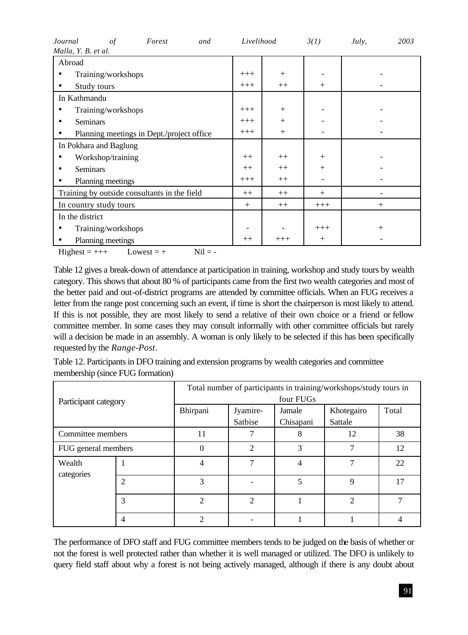| Journal<br>$\sigma f$<br>Forest<br>and       | Livelihood |          | 3(1)   | July,  | 2003 |
|----------------------------------------------|------------|----------|--------|--------|------|
| Malla, Y. B. et al.                          |            |          |        |        |      |
| Abroad                                       |            |          |        |        |      |
| Training/workshops                           | $+++$      | $^{+}$   |        |        |      |
| Study tours                                  | $+++$      | $^{++}$  | $^{+}$ |        |      |
| In Kathmandu                                 |            |          |        |        |      |
| Training/workshops                           | $+++$      | $^{+}$   |        |        |      |
| <b>Seminars</b><br>٠                         | $+++$      | $^{+}$   |        |        |      |
| Planning meetings in Dept./project office    | $+++$      | $^{+}$   |        |        |      |
| In Pokhara and Baglung                       |            |          |        |        |      |
| Workshop/training                            | $^{++}$    | $++$     | $^{+}$ |        |      |
| <b>Seminars</b><br>٠                         | $++$       | $++$     | $^{+}$ |        |      |
| Planning meetings                            | $+++$      | $++$     |        |        |      |
| Training by outside consultants in the field | $++$       | $++$     | $+$    |        |      |
| In country study tours                       | $^{+}$     | $++$     | $+++$  | $^{+}$ |      |
| In the district                              |            |          |        |        |      |
| Training/workshops                           |            |          | $+++$  | $^{+}$ |      |
| Planning meetings                            | $^{++}$    | $^{+++}$ | $^{+}$ |        |      |

 $Higher = +++$  Lowest = + Nil = -

Table 12 gives a break-down of attendance at participation in training, workshop and study tours by wealth category. This shows that about 80 % of participants came from the first two wealth categories and most of the better paid and out-of-district programs are attended by committee officials. When an FUG receives a letter from the range post concerning such an event, if time is short the chairperson is most likely to attend. If this is not possible, they are most likely to send a relative of their own choice or a friend or fellow committee member. In some cases they may consult informally with other committee officials but rarely will a decision be made in an assembly. A woman is only likely to be selected if this has been specifically requested by the *Range-Post*.

Table 12. Participants in DFO training and extension programs by wealth categories and committee membership (since FUG formation)

| Participant category |                | Total number of participants in training/workshops/study tours in<br>four FUGs |                     |                     |                       |       |  |  |
|----------------------|----------------|--------------------------------------------------------------------------------|---------------------|---------------------|-----------------------|-------|--|--|
|                      |                | Bhirpani                                                                       | Jyamire-<br>Satbise | Jamale<br>Chisapani | Khotegairo<br>Sattale | Total |  |  |
| Committee members    |                | 11                                                                             |                     | 8                   | 12                    | 38    |  |  |
| FUG general members  |                | $\Omega$                                                                       | $\overline{2}$      | 3                   |                       | 12    |  |  |
| Wealth<br>categories |                | 4                                                                              | 7                   | 4                   | $\overline{ }$        | 22    |  |  |
|                      | $\overline{c}$ | 3                                                                              |                     | 5                   | 9                     | 17    |  |  |
|                      | 3              | $\mathfrak{D}$                                                                 | $\overline{2}$      |                     | $\mathfrak{D}$        | π     |  |  |
|                      | $\overline{4}$ | $\mathcal{D}$                                                                  |                     |                     |                       | 4     |  |  |

The performance of DFO staff and FUG committee members tends to be judged on the basis of whether or not the forest is well protected rather than whether it is well managed or utilized. The DFO is unlikely to query field staff about why a forest is not being actively managed, although if there is any doubt about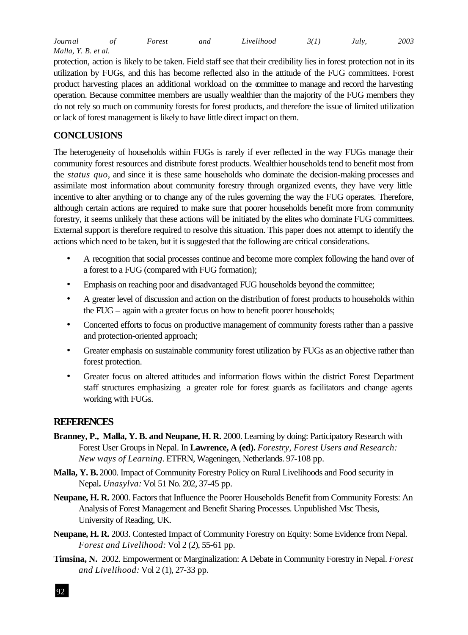| Journal             | Forest | and | Livelihood | 3(1) | July. | 2003 |
|---------------------|--------|-----|------------|------|-------|------|
| Malla, Y. B. et al. |        |     |            |      |       |      |

protection, action is likely to be taken. Field staff see that their credibility lies in forest protection not in its utilization by FUGs, and this has become reflected also in the attitude of the FUG committees. Forest product harvesting places an additional workload on the committee to manage and record the harvesting operation. Because committee members are usually wealthier than the majority of the FUG members they do not rely so much on community forests for forest products, and therefore the issue of limited utilization or lack of forest management is likely to have little direct impact on them.

# **CONCLUSIONS**

The heterogeneity of households within FUGs is rarely if ever reflected in the way FUGs manage their community forest resources and distribute forest products. Wealthier households tend to benefit most from the *status quo*, and since it is these same households who dominate the decision-making processes and assimilate most information about community forestry through organized events, they have very little incentive to alter anything or to change any of the rules governing the way the FUG operates. Therefore, although certain actions are required to make sure that poorer households benefit more from community forestry, it seems unlikely that these actions will be initiated by the elites who dominate FUG committees. External support is therefore required to resolve this situation. This paper does not attempt to identify the actions which need to be taken, but it is suggested that the following are critical considerations.

- A recognition that social processes continue and become more complex following the hand over of a forest to a FUG (compared with FUG formation);
- Emphasis on reaching poor and disadvantaged FUG households beyond the committee;
- A greater level of discussion and action on the distribution of forest products to households within the FUG – again with a greater focus on how to benefit poorer households;
- Concerted efforts to focus on productive management of community forests rather than a passive and protection-oriented approach;
- Greater emphasis on sustainable community forest utilization by FUGs as an objective rather than forest protection.
- Greater focus on altered attitudes and information flows within the district Forest Department staff structures emphasizing a greater role for forest guards as facilitators and change agents working with FUGs.

## **REFERENCES**

- **Branney, P., Malla, Y. B. and Neupane, H. R.** 2000. Learning by doing: Participatory Research with Forest User Groups in Nepal. In **Lawrence, A (ed).** *Forestry, Forest Users and Research: New ways of Learning.* ETFRN, Wageningen, Netherlands. 97-108 pp.
- **Malla, Y. B.** 2000. Impact of Community Forestry Policy on Rural Livelihoods and Food security in Nepal**.** *Unasylva:* Vol 51 No. 202, 37-45 pp.
- **Neupane, H. R.** 2000. Factors that Influence the Poorer Households Benefit from Community Forests: An Analysis of Forest Management and Benefit Sharing Processes. Unpublished Msc Thesis, University of Reading, UK.
- **Neupane, H. R.** 2003. Contested Impact of Community Forestry on Equity: Some Evidence from Nepal. *Forest and Livelihood:* Vol 2 (2), 55-61 pp.
- **Timsina, N.** 2002. Empowerment or Marginalization: A Debate in Community Forestry in Nepal. *Forest and Livelihood:* Vol 2 (1), 27-33 pp.